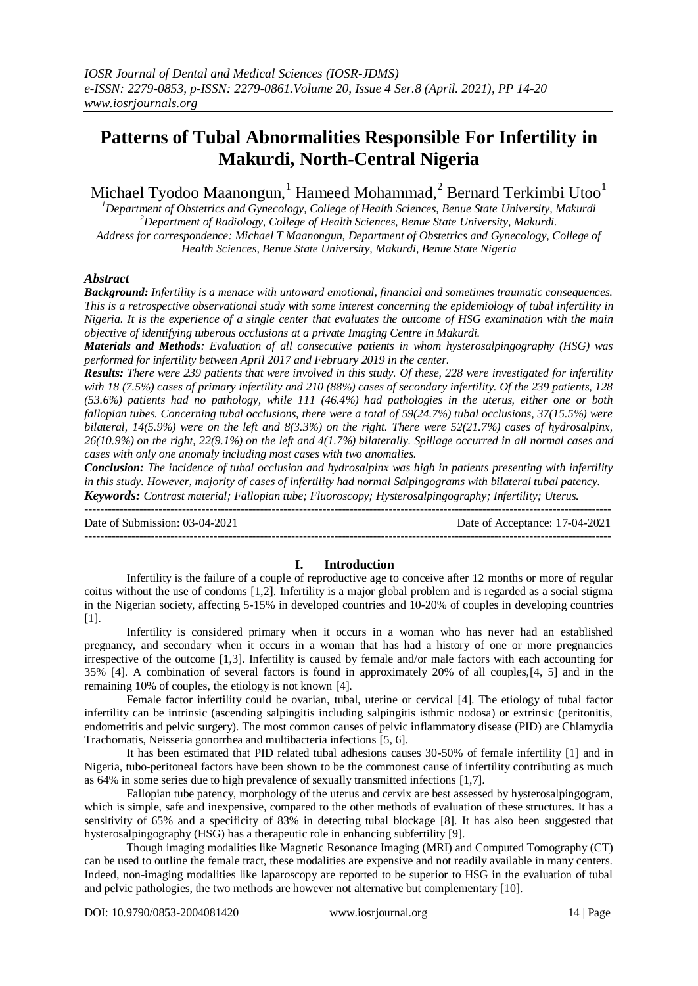# **Patterns of Tubal Abnormalities Responsible For Infertility in Makurdi, North-Central Nigeria**

Michael Tyodoo Maanongun,<sup>1</sup> Hameed Mohammad,<sup>2</sup> Bernard Terkimbi Utoo<sup>1</sup>

*<sup>1</sup>Department of Obstetrics and Gynecology, College of Health Sciences, Benue State University, Makurdi <sup>2</sup>Department of Radiology, College of Health Sciences, Benue State University, Makurdi. Address for correspondence: Michael T Maanongun, Department of Obstetrics and Gynecology, College of Health Sciences, Benue State University, Makurdi, Benue State Nigeria*

# *Abstract*

*Background: Infertility is a menace with untoward emotional, financial and sometimes traumatic consequences. This is a retrospective observational study with some interest concerning the epidemiology of tubal infertility in Nigeria. It is the experience of a single center that evaluates the outcome of HSG examination with the main objective of identifying tuberous occlusions at a private Imaging Centre in Makurdi.* 

*Materials and Methods: Evaluation of all consecutive patients in whom hysterosalpingography (HSG) was performed for infertility between April 2017 and February 2019 in the center.*

*Results: There were 239 patients that were involved in this study. Of these, 228 were investigated for infertility with 18 (7.5%) cases of primary infertility and 210 (88%) cases of secondary infertility. Of the 239 patients, 128 (53.6%) patients had no pathology, while 111 (46.4%) had pathologies in the uterus, either one or both fallopian tubes. Concerning tubal occlusions, there were a total of 59(24.7%) tubal occlusions, 37(15.5%) were bilateral, 14(5.9%) were on the left and 8(3.3%) on the right. There were 52(21.7%) cases of hydrosalpinx, 26(10.9%) on the right, 22(9.1%) on the left and 4(1.7%) bilaterally. Spillage occurred in all normal cases and cases with only one anomaly including most cases with two anomalies.* 

*Conclusion: The incidence of tubal occlusion and hydrosalpinx was high in patients presenting with infertility in this study. However, majority of cases of infertility had normal Salpingograms with bilateral tubal patency. Keywords: Contrast material; Fallopian tube; Fluoroscopy; Hysterosalpingography; Infertility; Uterus.* ---------------------------------------------------------------------------------------------------------------------------------------

---------------------------------------------------------------------------------------------------------------------------------------

Date of Submission: 03-04-2021 Date of Acceptance: 17-04-2021

# **I. Introduction**

Infertility is the failure of a couple of reproductive age to conceive after 12 months or more of regular coitus without the use of condoms [1,2]. Infertility is a major global problem and is regarded as a social stigma in the Nigerian society, affecting 5-15% in developed countries and 10-20% of couples in developing countries [1].

Infertility is considered primary when it occurs in a woman who has never had an established pregnancy, and secondary when it occurs in a woman that has had a history of one or more pregnancies irrespective of the outcome [1,3]. Infertility is caused by female and/or male factors with each accounting for 35% [4]. A combination of several factors is found in approximately 20% of all couples,[4, 5] and in the remaining 10% of couples, the etiology is not known [4].

Female factor infertility could be ovarian, tubal, uterine or cervical [4]. The etiology of tubal factor infertility can be intrinsic (ascending salpingitis including salpingitis isthmic nodosa) or extrinsic (peritonitis, endometritis and pelvic surgery). The most common causes of pelvic inflammatory disease (PID) are Chlamydia Trachomatis, Neisseria gonorrhea and multibacteria infections [5, 6].

It has been estimated that PID related tubal adhesions causes 30-50% of female infertility [1] and in Nigeria, tubo-peritoneal factors have been shown to be the commonest cause of infertility contributing as much as 64% in some series due to high prevalence of sexually transmitted infections [1,7].

Fallopian tube patency, morphology of the uterus and cervix are best assessed by hysterosalpingogram, which is simple, safe and inexpensive, compared to the other methods of evaluation of these structures. It has a sensitivity of 65% and a specificity of 83% in detecting tubal blockage [8]. It has also been suggested that hysterosalpingography (HSG) has a therapeutic role in enhancing subfertility [9].

Though imaging modalities like Magnetic Resonance Imaging (MRI) and Computed Tomography (CT) can be used to outline the female tract, these modalities are expensive and not readily available in many centers. Indeed, non-imaging modalities like laparoscopy are reported to be superior to HSG in the evaluation of tubal and pelvic pathologies, the two methods are however not alternative but complementary [10].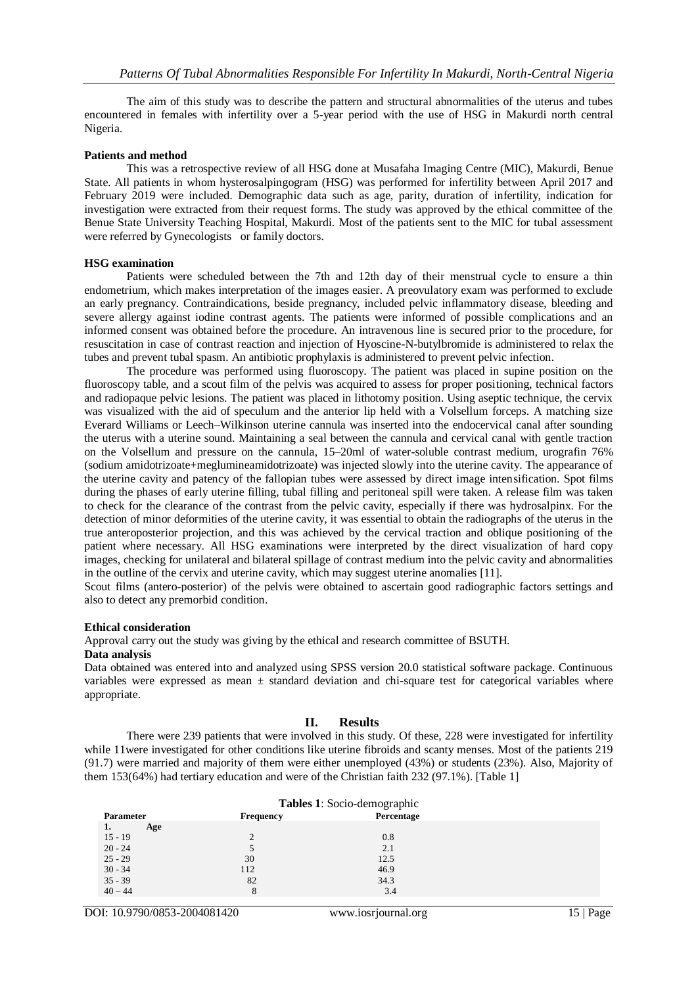The aim of this study was to describe the pattern and structural abnormalities of the uterus and tubes encountered in females with infertility over a 5-year period with the use of HSG in Makurdi north central Nigeria.

#### **Patients and method**

This was a retrospective review of all HSG done at Musafaha Imaging Centre (MIC), Makurdi, Benue State. All patients in whom hysterosalpingogram (HSG) was performed for infertility between April 2017 and February 2019 were included. Demographic data such as age, parity, duration of infertility, indication for investigation were extracted from their request forms. The study was approved by the ethical committee of the Benue State University Teaching Hospital, Makurdi. Most of the patients sent to the MIC for tubal assessment were referred by Gynecologists or family doctors.

#### **HSG examination**

Patients were scheduled between the 7th and 12th day of their menstrual cycle to ensure a thin endometrium, which makes interpretation of the images easier. A preovulatory exam was performed to exclude an early pregnancy. Contraindications, beside pregnancy, included pelvic inflammatory disease, bleeding and severe allergy against iodine contrast agents. The patients were informed of possible complications and an informed consent was obtained before the procedure. An intravenous line is secured prior to the procedure, for resuscitation in case of contrast reaction and injection of Hyoscine-N-butylbromide is administered to relax the tubes and prevent tubal spasm. An antibiotic prophylaxis is administered to prevent pelvic infection.

The procedure was performed using fluoroscopy. The patient was placed in supine position on the fluoroscopy table, and a scout film of the pelvis was acquired to assess for proper positioning, technical factors and radiopaque pelvic lesions. The patient was placed in lithotomy position. Using aseptic technique, the cervix was visualized with the aid of speculum and the anterior lip held with a Volsellum forceps. A matching size Everard Williams or Leech–Wilkinson uterine cannula was inserted into the endocervical canal after sounding the uterus with a uterine sound. Maintaining a seal between the cannula and cervical canal with gentle traction on the Volsellum and pressure on the cannula, 15–20ml of water-soluble contrast medium, urografin 76% (sodium amidotrizoate+meglumineamidotrizoate) was injected slowly into the uterine cavity. The appearance of the uterine cavity and patency of the fallopian tubes were assessed by direct image intensification. Spot films during the phases of early uterine filling, tubal filling and peritoneal spill were taken. A release film was taken to check for the clearance of the contrast from the pelvic cavity, especially if there was hydrosalpinx. For the detection of minor deformities of the uterine cavity, it was essential to obtain the radiographs of the uterus in the true anteroposterior projection, and this was achieved by the cervical traction and oblique positioning of the patient where necessary. All HSG examinations were interpreted by the direct visualization of hard copy images, checking for unilateral and bilateral spillage of contrast medium into the pelvic cavity and abnormalities in the outline of the cervix and uterine cavity, which may suggest uterine anomalies [11].

Scout films (antero-posterior) of the pelvis were obtained to ascertain good radiographic factors settings and also to detect any premorbid condition.

#### **Ethical consideration**

Approval carry out the study was giving by the ethical and research committee of BSUTH.

#### **Data analysis**

Data obtained was entered into and analyzed using SPSS version 20.0 statistical software package. Continuous variables were expressed as mean  $\pm$  standard deviation and chi-square test for categorical variables where appropriate.

#### **II. Results**

There were 239 patients that were involved in this study. Of these, 228 were investigated for infertility while 11were investigated for other conditions like uterine fibroids and scanty menses. Most of the patients 219 (91.7) were married and majority of them were either unemployed (43%) or students (23%). Also, Majority of them 153(64%) had tertiary education and were of the Christian faith 232 (97.1%). [Table 1]

| Tables 1: Socio-demographic |           |            |  |
|-----------------------------|-----------|------------|--|
| <b>Parameter</b>            | Frequency | Percentage |  |
| Age<br>1.                   |           |            |  |
| $15 - 19$                   | $\Omega$  | 0.8        |  |
| $20 - 24$                   |           | 2.1        |  |
| $25 - 29$                   | 30        | 12.5       |  |
| $30 - 34$                   | 112       | 46.9       |  |
| $35 - 39$                   | 82        | 34.3       |  |
| $40 - 44$                   | 8         | 3.4        |  |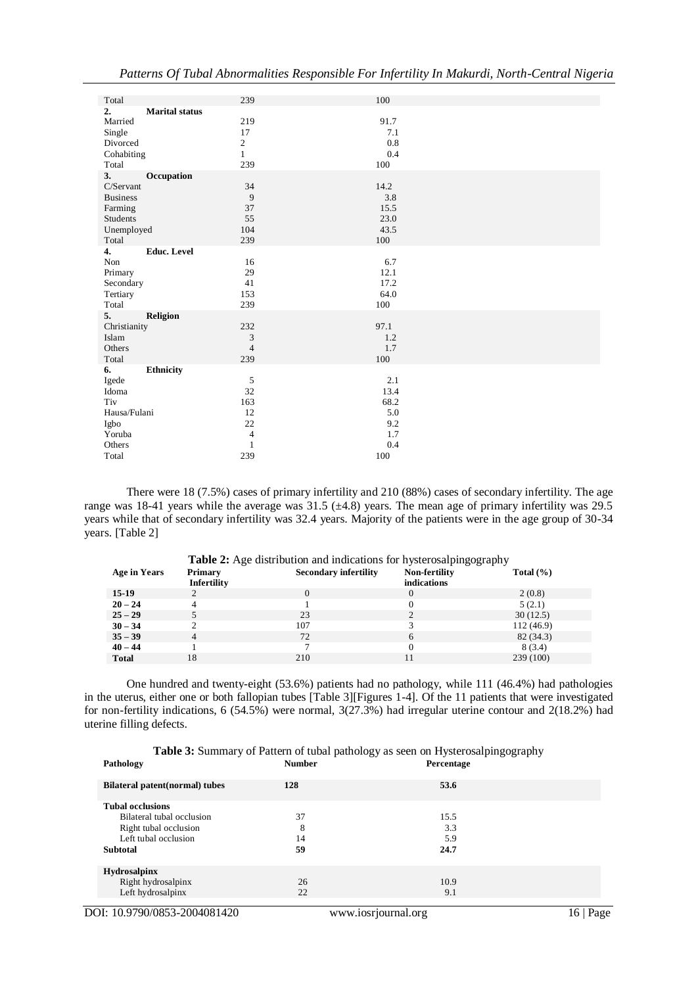| Total                       | 239            | 100     |
|-----------------------------|----------------|---------|
| 2.<br><b>Marital status</b> |                |         |
| Married                     | 219            | 91.7    |
| Single                      | 17             | 7.1     |
| Divorced                    | $\overline{c}$ | 0.8     |
| Cohabiting                  | $\mathbf{1}$   | 0.4     |
| Total                       | 239            | 100     |
| 3.<br>Occupation            |                |         |
| C/Servant                   | 34             | 14.2    |
| <b>Business</b>             | 9              | 3.8     |
| Farming                     | 37             | 15.5    |
| Students                    | 55             | 23.0    |
| Unemployed                  | 104            | 43.5    |
| Total                       | 239            | 100     |
| <b>Educ.</b> Level<br>4.    |                |         |
| Non                         | 16             | 6.7     |
| Primary                     | 29             | 12.1    |
| Secondary                   | 41             | 17.2    |
| Tertiary                    | 153            | 64.0    |
| Total                       | 239            | 100     |
| 5.<br><b>Religion</b>       |                |         |
| Christianity                | 232            | 97.1    |
| Islam                       | 3              | 1.2     |
| Others                      | $\overline{4}$ | 1.7     |
| Total                       | 239            | 100     |
| <b>Ethnicity</b><br>6.      |                |         |
| Igede                       | 5              | 2.1     |
| Idoma                       | 32             | 13.4    |
| Tiv                         | 163            | 68.2    |
| Hausa/Fulani                | 12             | 5.0     |
| Igbo                        | 22             | 9.2     |
| Yoruba                      | $\overline{4}$ | 1.7     |
| Others                      | $\mathbf{1}$   | 0.4     |
| Total                       | 239            | $100\,$ |

There were 18 (7.5%) cases of primary infertility and 210 (88%) cases of secondary infertility. The age range was 18-41 years while the average was 31.5 (±4.8) years. The mean age of primary infertility was 29.5 years while that of secondary infertility was 32.4 years. Majority of the patients were in the age group of 30-34 years. [Table 2]

| <b>Primary</b> | <b>Secondary infertility</b> | Non-fertility               | Total $(\% )$                                                               |
|----------------|------------------------------|-----------------------------|-----------------------------------------------------------------------------|
| Infertility    |                              | indications                 |                                                                             |
|                | 0                            | $\Omega$                    | 2(0.8)                                                                      |
|                |                              |                             | 5(2.1)                                                                      |
|                | 23                           | $\mathcal{D}_{\mathcal{L}}$ | 30(12.5)                                                                    |
|                | 107                          |                             | 112 (46.9)                                                                  |
| 4              | 72                           | 6                           | 82 (34.3)                                                                   |
|                |                              |                             | 8(3.4)                                                                      |
| 18             | 210                          | 11                          | 239 (100)                                                                   |
|                |                              |                             | <b>Table 2:</b> Age distribution and indications for hysterosalping ography |

One hundred and twenty-eight (53.6%) patients had no pathology, while 111 (46.4%) had pathologies in the uterus, either one or both fallopian tubes [Table 3][Figures 1-4]. Of the 11 patients that were investigated for non-fertility indications, 6 (54.5%) were normal, 3(27.3%) had irregular uterine contour and 2(18.2%) had uterine filling defects.

| Table 3: Summary of Pattern of tubal pathology as seen on Hysterosalpingography |  |
|---------------------------------------------------------------------------------|--|
|                                                                                 |  |

| Pathology                      | <b>Number</b> | Percentage |  |
|--------------------------------|---------------|------------|--|
| Bilateral patent(normal) tubes | 128           | 53.6       |  |
| <b>Tubal occlusions</b>        |               |            |  |
| Bilateral tubal occlusion      | 37            | 15.5       |  |
| Right tubal occlusion          | 8             | 3.3        |  |
| Left tubal occlusion           | 14            | 5.9        |  |
| <b>Subtotal</b>                | 59            | 24.7       |  |
| <b>Hydrosalpinx</b>            |               |            |  |
| Right hydrosalpinx             | 26            | 10.9       |  |
| Left hydrosalpinx              | 22            | 9.1        |  |
|                                |               |            |  |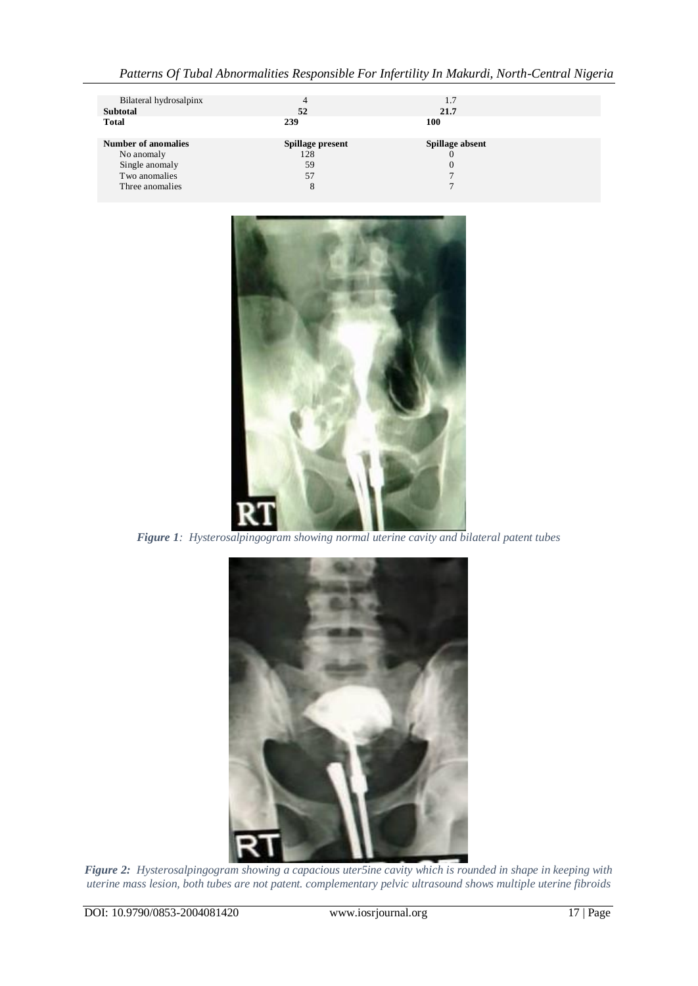| Bilateral hydrosalpinx     | 4                | 1.7             |  |
|----------------------------|------------------|-----------------|--|
| <b>Subtotal</b>            | 52               | 21.7            |  |
| <b>Total</b>               | 239              | 100             |  |
|                            |                  |                 |  |
| <b>Number of anomalies</b> | Spillage present | Spillage absent |  |
| No anomaly                 | 128              | $\theta$        |  |
| Single anomaly             | 59               | $\Omega$        |  |
| Two anomalies              | 57               |                 |  |
| Three anomalies            | 8                |                 |  |
|                            |                  |                 |  |



*Figure 1: Hysterosalpingogram showing normal uterine cavity and bilateral patent tubes*



*Figure 2: Hysterosalpingogram showing a capacious uter5ine cavity which is rounded in shape in keeping with uterine mass lesion, both tubes are not patent. complementary pelvic ultrasound shows multiple uterine fibroids*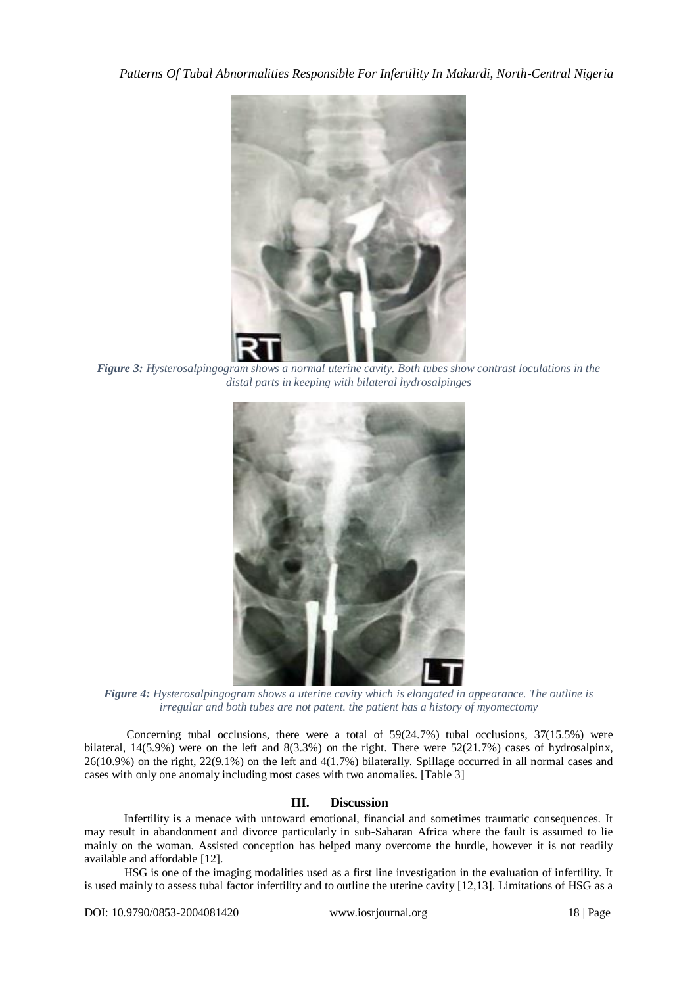

*Figure 3: Hysterosalpingogram shows a normal uterine cavity. Both tubes show contrast loculations in the distal parts in keeping with bilateral hydrosalpinges*



*Figure 4: Hysterosalpingogram shows a uterine cavity which is elongated in appearance. The outline is irregular and both tubes are not patent. the patient has a history of myomectomy*

Concerning tubal occlusions, there were a total of  $59(24.7%)$  tubal occlusions,  $37(15.5%)$  were bilateral, 14(5.9%) were on the left and 8(3.3%) on the right. There were 52(21.7%) cases of hydrosalpinx, 26(10.9%) on the right, 22(9.1%) on the left and 4(1.7%) bilaterally. Spillage occurred in all normal cases and cases with only one anomaly including most cases with two anomalies. [Table 3]

# **III. Discussion**

Infertility is a menace with untoward emotional, financial and sometimes traumatic consequences. It may result in abandonment and divorce particularly in sub-Saharan Africa where the fault is assumed to lie mainly on the woman. Assisted conception has helped many overcome the hurdle, however it is not readily available and affordable [12].

HSG is one of the imaging modalities used as a first line investigation in the evaluation of infertility. It is used mainly to assess tubal factor infertility and to outline the uterine cavity [12,13]. Limitations of HSG as a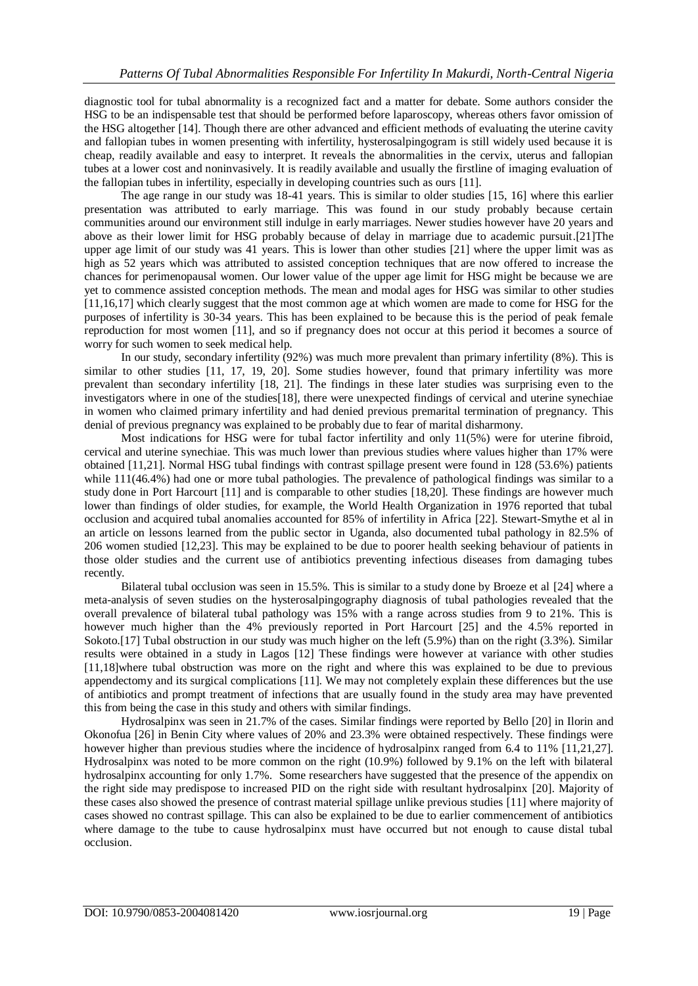diagnostic tool for tubal abnormality is a recognized fact and a matter for debate. Some authors consider the HSG to be an indispensable test that should be performed before laparoscopy, whereas others favor omission of the HSG altogether [14]. Though there are other advanced and efficient methods of evaluating the uterine cavity and fallopian tubes in women presenting with infertility, hysterosalpingogram is still widely used because it is cheap, readily available and easy to interpret. It reveals the abnormalities in the cervix, uterus and fallopian tubes at a lower cost and noninvasively. It is readily available and usually the firstline of imaging evaluation of the fallopian tubes in infertility, especially in developing countries such as ours [11].

The age range in our study was 18-41 years. This is similar to older studies [15, 16] where this earlier presentation was attributed to early marriage. This was found in our study probably because certain communities around our environment still indulge in early marriages. Newer studies however have 20 years and above as their lower limit for HSG probably because of delay in marriage due to academic pursuit.[21]The upper age limit of our study was 41 years. This is lower than other studies [21] where the upper limit was as high as 52 years which was attributed to assisted conception techniques that are now offered to increase the chances for perimenopausal women. Our lower value of the upper age limit for HSG might be because we are yet to commence assisted conception methods. The mean and modal ages for HSG was similar to other studies [11,16,17] which clearly suggest that the most common age at which women are made to come for HSG for the purposes of infertility is 30-34 years. This has been explained to be because this is the period of peak female reproduction for most women [11], and so if pregnancy does not occur at this period it becomes a source of worry for such women to seek medical help.

In our study, secondary infertility (92%) was much more prevalent than primary infertility (8%). This is similar to other studies [11, 17, 19, 20]. Some studies however, found that primary infertility was more prevalent than secondary infertility [18, 21]. The findings in these later studies was surprising even to the investigators where in one of the studies[18], there were unexpected findings of cervical and uterine synechiae in women who claimed primary infertility and had denied previous premarital termination of pregnancy. This denial of previous pregnancy was explained to be probably due to fear of marital disharmony.

Most indications for HSG were for tubal factor infertility and only 11(5%) were for uterine fibroid, cervical and uterine synechiae. This was much lower than previous studies where values higher than 17% were obtained [11,21]. Normal HSG tubal findings with contrast spillage present were found in 128 (53.6%) patients while 111(46.4%) had one or more tubal pathologies. The prevalence of pathological findings was similar to a study done in Port Harcourt [11] and is comparable to other studies [18,20]. These findings are however much lower than findings of older studies, for example, the World Health Organization in 1976 reported that tubal occlusion and acquired tubal anomalies accounted for 85% of infertility in Africa [22]. Stewart-Smythe et al in an article on lessons learned from the public sector in Uganda, also documented tubal pathology in 82.5% of 206 women studied [12,23]. This may be explained to be due to poorer health seeking behaviour of patients in those older studies and the current use of antibiotics preventing infectious diseases from damaging tubes recently.

Bilateral tubal occlusion was seen in 15.5%. This is similar to a study done by Broeze et al [24] where a meta-analysis of seven studies on the hysterosalpingography diagnosis of tubal pathologies revealed that the overall prevalence of bilateral tubal pathology was 15% with a range across studies from 9 to 21%. This is however much higher than the 4% previously reported in Port Harcourt [25] and the 4.5% reported in Sokoto.[17] Tubal obstruction in our study was much higher on the left (5.9%) than on the right (3.3%). Similar results were obtained in a study in Lagos [12] These findings were however at variance with other studies [11,18]where tubal obstruction was more on the right and where this was explained to be due to previous appendectomy and its surgical complications [11]. We may not completely explain these differences but the use of antibiotics and prompt treatment of infections that are usually found in the study area may have prevented this from being the case in this study and others with similar findings.

Hydrosalpinx was seen in 21.7% of the cases. Similar findings were reported by Bello [20] in Ilorin and Okonofua [26] in Benin City where values of 20% and 23.3% were obtained respectively. These findings were however higher than previous studies where the incidence of hydrosalpinx ranged from 6.4 to 11% [11,21,27]. Hydrosalpinx was noted to be more common on the right (10.9%) followed by 9.1% on the left with bilateral hydrosalpinx accounting for only 1.7%. Some researchers have suggested that the presence of the appendix on the right side may predispose to increased PID on the right side with resultant hydrosalpinx [20]. Majority of these cases also showed the presence of contrast material spillage unlike previous studies [11] where majority of cases showed no contrast spillage. This can also be explained to be due to earlier commencement of antibiotics where damage to the tube to cause hydrosalpinx must have occurred but not enough to cause distal tubal occlusion.